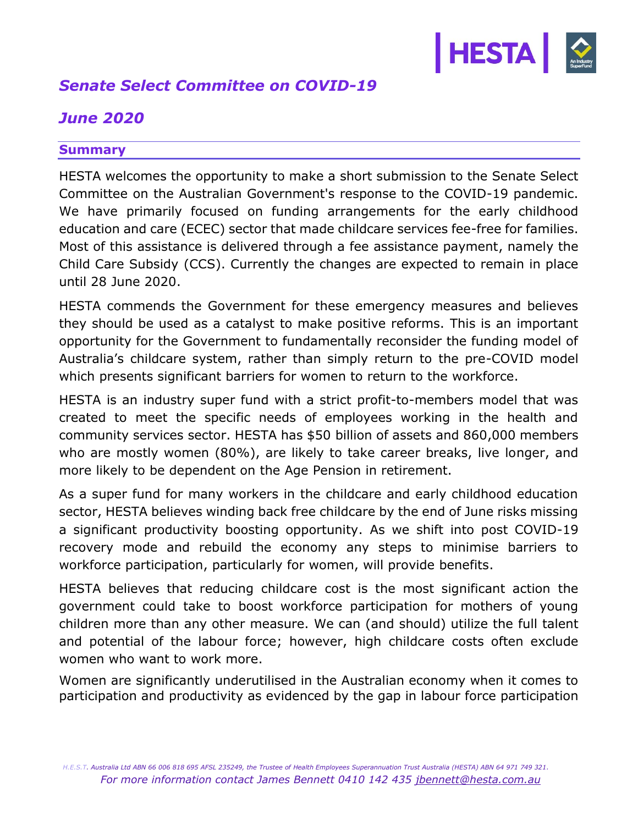

# *Senate Select Committee on COVID-19*

# *June 2020*

## **Summary**

HESTA welcomes the opportunity to make a short submission to the Senate Select Committee on the Australian Government's response to the COVID-19 pandemic. We have primarily focused on funding arrangements for the early childhood education and care (ECEC) sector that made childcare services fee-free for families. Most of this assistance is delivered through a fee assistance payment, namely the [Child Care Subsidy](https://www.education.gov.au/child-care-subsidy-1) (CCS). Currently the changes are expected to remain in place until 28 June 2020.

HESTA commends the Government for these emergency measures and believes they should be used as a catalyst to make positive reforms. This is an important opportunity for the Government to fundamentally reconsider the funding model of Australia's childcare system, rather than simply return to the pre-COVID model which presents significant barriers for women to return to the workforce.

HESTA is an industry super fund with a strict profit-to-members model that was created to meet the specific needs of employees working in the health and community services sector. HESTA has \$50 billion of assets and 860,000 members who are mostly women (80%), are likely to take career breaks, live longer, and more likely to be dependent on the Age Pension in retirement.

As a super fund for many workers in the childcare and early childhood education sector, HESTA believes winding back free childcare by the end of June risks missing a significant productivity boosting opportunity. As we shift into post COVID-19 recovery mode and rebuild the economy any steps to minimise barriers to workforce participation, particularly for women, will provide benefits.

HESTA believes that reducing childcare cost is the most significant action the government could take to boost workforce participation for mothers of young children more than any other measure. We can (and should) utilize the full talent and potential of the labour force; however, high childcare costs often exclude women who want to work more.

Women are significantly underutilised in the Australian economy when it comes to participation and productivity as evidenced by the gap in labour force participation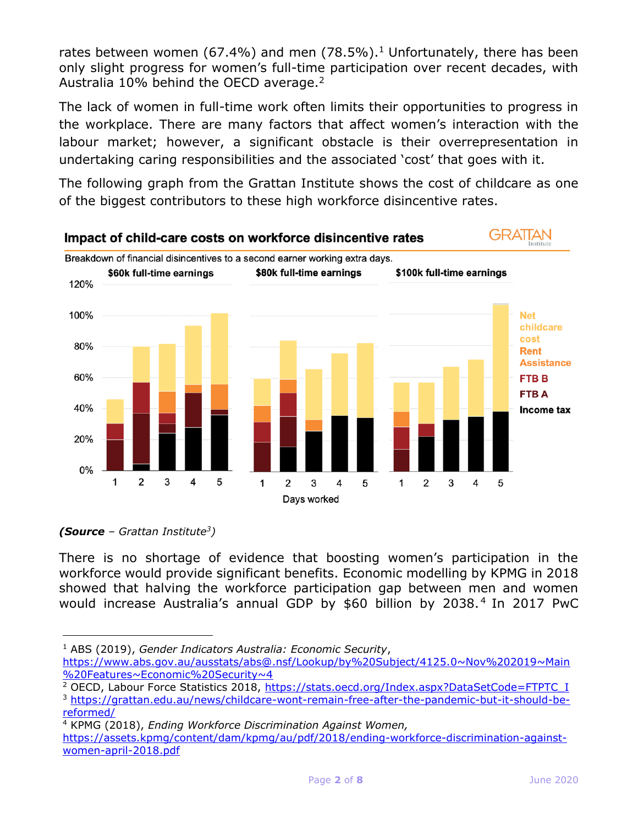rates between women (67.4%) and men (78.5%).<sup>1</sup> Unfortunately, there has been only slight progress for women's full-time participation over recent decades, with Australia 10% behind the OECD average.<sup>2</sup>

The lack of women in full-time work often limits their opportunities to progress in the workplace. There are many factors that affect women's interaction with the labour market; however, a significant obstacle is their overrepresentation in undertaking caring responsibilities and the associated 'cost' that goes with it.

The following graph from the Grattan Institute shows the cost of childcare as one of the biggest contributors to these high workforce disincentive rates.



*(Source – Grattan Institute<sup>3</sup> )*

There is no shortage of evidence that boosting women's participation in the workforce would provide significant benefits. Economic modelling by KPMG in 2018 showed that halving the workforce participation gap between men and women would increase Australia's annual GDP by \$60 billion by 2038.<sup>4</sup> In 2017 PwC

<sup>1</sup> ABS (2019), *Gender Indicators Australia: Economic Security*,

<sup>4</sup> KPMG (2018), *Ending Workforce Discrimination Against Women,*

[https://assets.kpmg/content/dam/kpmg/au/pdf/2018/ending-workforce-discrimination-against](https://assets.kpmg/content/dam/kpmg/au/pdf/2018/ending-workforce-discrimination-against-women-april-2018.pdf)[women-april-2018.pdf](https://assets.kpmg/content/dam/kpmg/au/pdf/2018/ending-workforce-discrimination-against-women-april-2018.pdf)

[https://www.abs.gov.au/ausstats/abs@.nsf/Lookup/by%20Subject/4125.0~Nov%202019~Main](https://www.abs.gov.au/ausstats/abs@.nsf/Lookup/by%20Subject/4125.0~Nov%202019~Main%20Features~Economic%20Security~4) [%20Features~Economic%20Security~4](https://www.abs.gov.au/ausstats/abs@.nsf/Lookup/by%20Subject/4125.0~Nov%202019~Main%20Features~Economic%20Security~4)

<sup>&</sup>lt;sup>2</sup> OECD, Labour Force Statistics 2018, [https://stats.oecd.org/Index.aspx?DataSetCode=FTPTC\\_I](https://stats.oecd.org/Index.aspx?DataSetCode=FTPTC_I) <sup>3</sup> [https://grattan.edu.au/news/childcare-wont-remain-free-after-the-pandemic-but-it-should-be](https://grattan.edu.au/news/childcare-wont-remain-free-after-the-pandemic-but-it-should-be-reformed/)[reformed/](https://grattan.edu.au/news/childcare-wont-remain-free-after-the-pandemic-but-it-should-be-reformed/)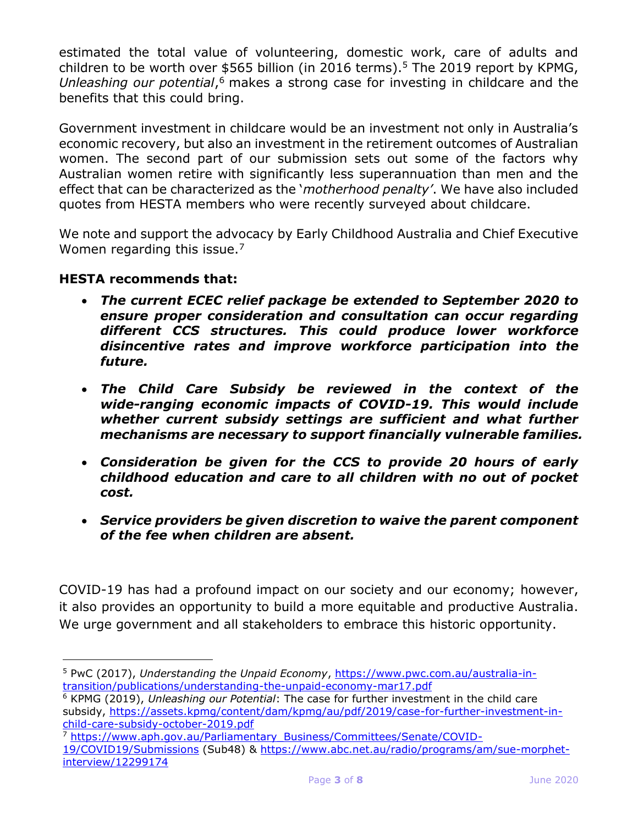estimated the total value of volunteering, domestic work, care of adults and children to be worth over \$565 billion (in 2016 terms).<sup>5</sup> The 2019 report by KPMG, *Unleashing our potential*, <sup>6</sup> makes a strong case for investing in childcare and the benefits that this could bring.

Government investment in childcare would be an investment not only in Australia's economic recovery, but also an investment in the retirement outcomes of Australian women. The second part of our submission sets out some of the factors why Australian women retire with significantly less superannuation than men and the effect that can be characterized as the '*motherhood penalty'*. We have also included quotes from HESTA members who were recently surveyed about childcare.

We note and support the advocacy by Early Childhood Australia and Chief Executive Women regarding this issue.<sup>7</sup>

## **HESTA recommends that:**

- *The current ECEC relief package be extended to September 2020 to ensure proper consideration and consultation can occur regarding different CCS structures. This could produce lower workforce disincentive rates and improve workforce participation into the future.*
- *The Child Care Subsidy be reviewed in the context of the wide-ranging economic impacts of COVID-19. This would include whether current subsidy settings are sufficient and what further mechanisms are necessary to support financially vulnerable families.*
- *Consideration be given for the CCS to provide 20 hours of early childhood education and care to all children with no out of pocket cost.*
- *Service providers be given discretion to waive the parent component of the fee when children are absent.*

COVID-19 has had a profound impact on our society and our economy; however, it also provides an opportunity to build a more equitable and productive Australia. We urge government and all stakeholders to embrace this historic opportunity.

<sup>5</sup> PwC (2017), *Understanding the Unpaid Economy*, [https://www.pwc.com.au/australia-in](https://www.pwc.com.au/australia-in-transition/publications/understanding-the-unpaid-economy-mar17.pdf)[transition/publications/understanding-the-unpaid-economy-mar17.pdf](https://www.pwc.com.au/australia-in-transition/publications/understanding-the-unpaid-economy-mar17.pdf)

<sup>6</sup> KPMG (2019), *Unleashing our Potential*: The case for further investment in the child care subsidy, [https://assets.kpmg/content/dam/kpmg/au/pdf/2019/case-for-further-investment-in](https://assets.kpmg/content/dam/kpmg/au/pdf/2019/case-for-further-investment-in-child-care-subsidy-october-2019.pdf)[child-care-subsidy-october-2019.pdf](https://assets.kpmg/content/dam/kpmg/au/pdf/2019/case-for-further-investment-in-child-care-subsidy-october-2019.pdf)

<sup>7</sup> [https://www.aph.gov.au/Parliamentary\\_Business/Committees/Senate/COVID-](https://www.aph.gov.au/Parliamentary_Business/Committees/Senate/COVID-19/COVID19/Submissions)

[<sup>19/</sup>COVID19/Submissions](https://www.aph.gov.au/Parliamentary_Business/Committees/Senate/COVID-19/COVID19/Submissions) (Sub48) & [https://www.abc.net.au/radio/programs/am/sue-morphet](https://www.abc.net.au/radio/programs/am/sue-morphet-interview/12299174)[interview/12299174](https://www.abc.net.au/radio/programs/am/sue-morphet-interview/12299174)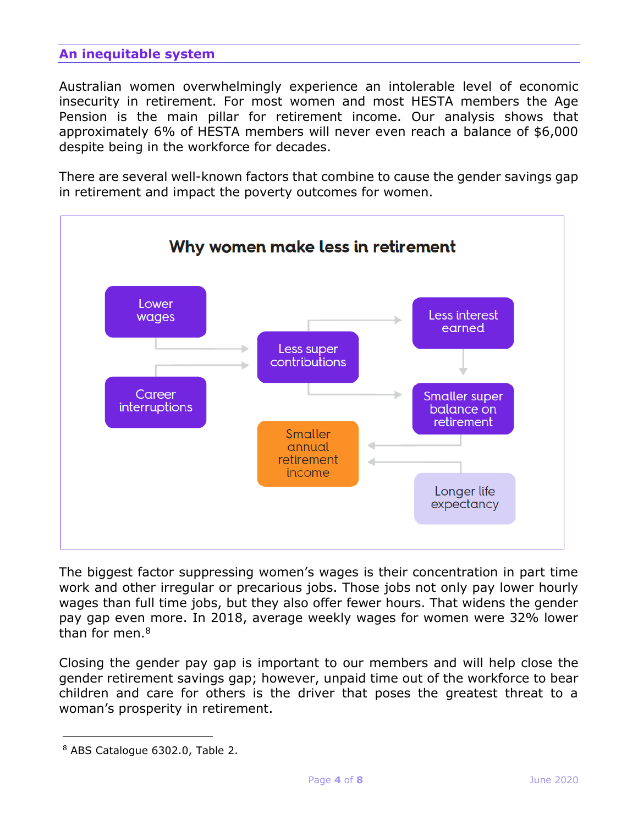## **An inequitable system**

Australian women overwhelmingly experience an intolerable level of economic insecurity in retirement. For most women and most HESTA members the Age Pension is the main pillar for retirement income. Our analysis shows that approximately 6% of HESTA members will never even reach a balance of \$6,000 despite being in the workforce for decades.

There are several well-known factors that combine to cause the gender savings gap in retirement and impact the poverty outcomes for women.



The biggest factor suppressing women's wages is their concentration in part time work and other irregular or precarious jobs. Those jobs not only pay lower hourly wages than full time jobs, but they also offer fewer hours. That widens the gender pay gap even more. In 2018, average weekly wages for women were 32% lower than for men  $8$ 

Closing the gender pay gap is important to our members and will help close the gender retirement savings gap; however, unpaid time out of the workforce to bear children and care for others is the driver that poses the greatest threat to a woman's prosperity in retirement.

<sup>8</sup> ABS Catalogue 6302.0, Table 2.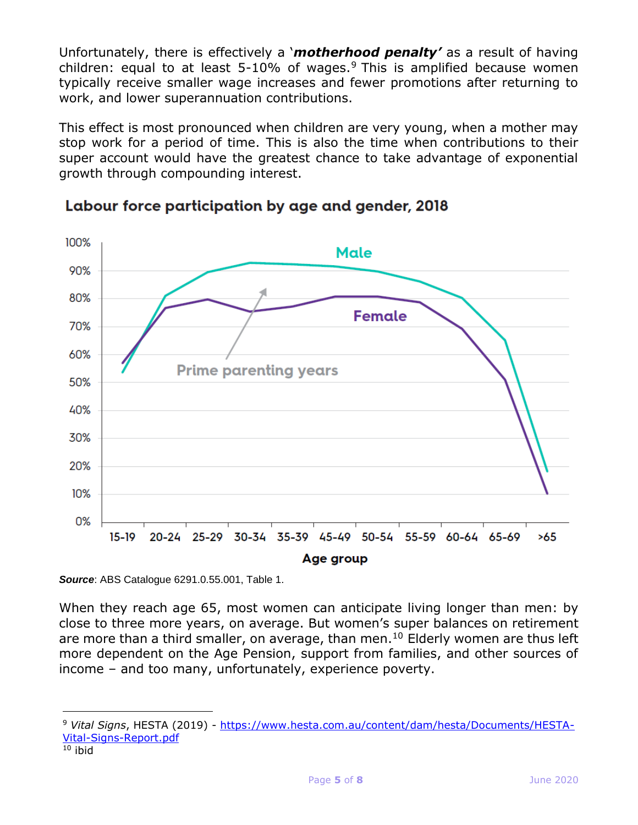Unfortunately, there is effectively a '*motherhood penalty'* as a result of having children: equal to at least  $5-10\%$  of wages.<sup>9</sup> This is amplified because women typically receive smaller wage increases and fewer promotions after returning to work, and lower superannuation contributions.

This effect is most pronounced when children are very young, when a mother may stop work for a period of time. This is also the time when contributions to their super account would have the greatest chance to take advantage of exponential growth through compounding interest.





*Source*: ABS Catalogue 6291.0.55.001, Table 1.

When they reach age 65, most women can anticipate living longer than men: by close to three more years, on average. But women's super balances on retirement are more than a third smaller, on average, than men.<sup>10</sup> Elderly women are thus left more dependent on the Age Pension, support from families, and other sources of income – and too many, unfortunately, experience poverty.

<sup>9</sup> *Vital Signs*, HESTA (2019) - [https://www.hesta.com.au/content/dam/hesta/Documents/HESTA-](https://www.hesta.com.au/content/dam/hesta/Documents/HESTA-Vital-Signs-Report.pdf)[Vital-Signs-Report.pdf](https://www.hesta.com.au/content/dam/hesta/Documents/HESTA-Vital-Signs-Report.pdf)

 $10$  ibid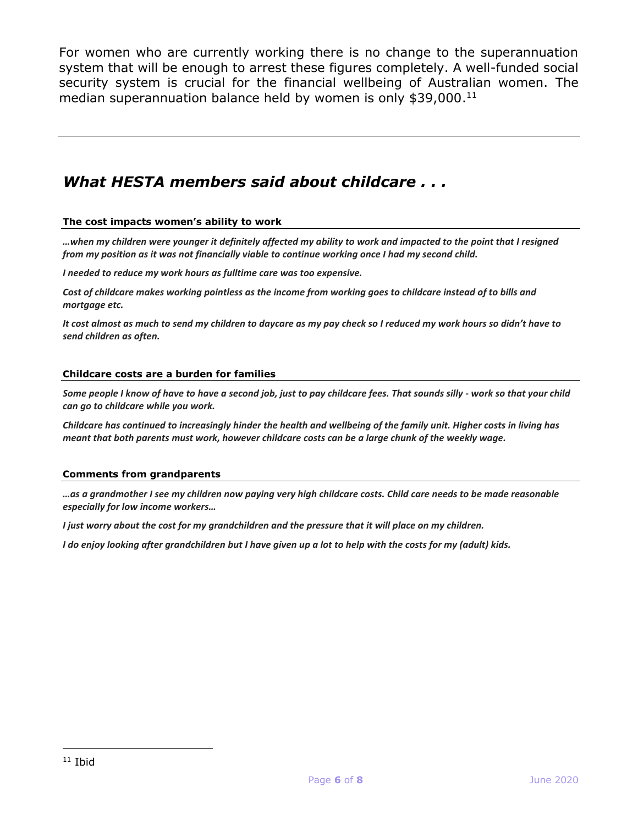For women who are currently working there is no change to the superannuation system that will be enough to arrest these figures completely. A well-funded social security system is crucial for the financial wellbeing of Australian women. The median superannuation balance held by women is only \$39,000. 11

## *What HESTA members said about childcare . . .*

#### **The cost impacts women's ability to work**

*…when my children were younger it definitely affected my ability to work and impacted to the point that I resigned from my position as it was not financially viable to continue working once I had my second child.*

*I needed to reduce my work hours as fulltime care was too expensive.*

*Cost of childcare makes working pointless as the income from working goes to childcare instead of to bills and mortgage etc.*

*It cost almost as much to send my children to daycare as my pay check so I reduced my work hours so didn't have to send children as often.*

#### **Childcare costs are a burden for families**

*Some people I know of have to have a second job, just to pay childcare fees. That sounds silly - work so that your child can go to childcare while you work.*

*Childcare has continued to increasingly hinder the health and wellbeing of the family unit. Higher costs in living has meant that both parents must work, however childcare costs can be a large chunk of the weekly wage.*

#### **Comments from grandparents**

*…as a grandmother I see my children now paying very high childcare costs. Child care needs to be made reasonable especially for low income workers…*

*I just worry about the cost for my grandchildren and the pressure that it will place on my children.*

*I do enjoy looking after grandchildren but I have given up a lot to help with the costs for my (adult) kids.*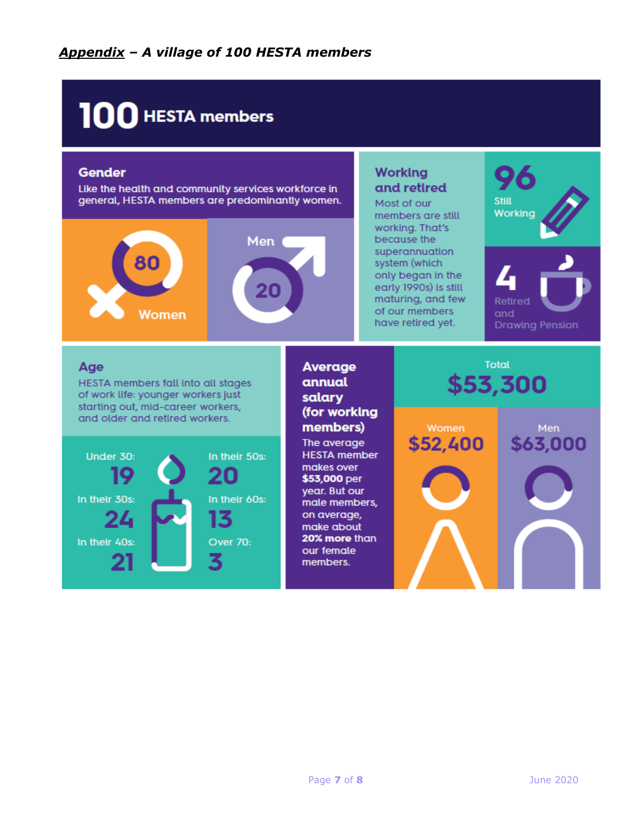# 100 HESTA members

## **Gender**

Like the health and community services workforce in general, HESTA members are predominantly women.



## **Working** and retired

Most of our members are still working. That's because the superannuation system (which only began in the early 1990s) is still maturing, and few of our members have retired yet.



## Age

HESTA members fall into all stages of work life: younger workers just starting out, mid-career workers, and older and retired workers.



## Average annual salary (for working members) The average **HESTA** member makes over \$53,000 per

year. But our male members, on average, make about 20% more than our female

members.